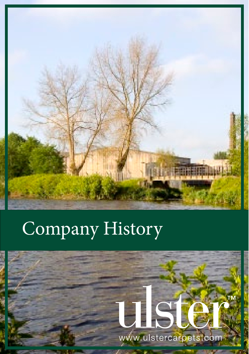

# Company History

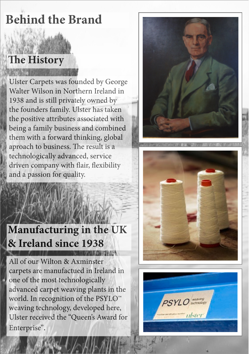## **Behind the Brand**

## **The History**

Ulster Carpets was founded by George Walter Wilson in Northern Ireland in 1938 and is still privately owned by the founders family. Ulster has taken the positive attributes associated with being a family business and combined them with a forward thinking, global aproach to business. The result is a technologically advanced, service driven company with fair, fexibility and a passion for quality.

#### **Manufacturing in the UK & Ireland since 1938**  1. 1. 1. 1. 1. 1. 1. 1. 1.

All of our Wilton & Axminster carpets are manufactued in Ireland in one of the most technologically advanced carpet weaving plants in the world. In recognition of the PSYLO™ weaving technology, developed here, Ulster received the "Queen's Award for Enterprise".





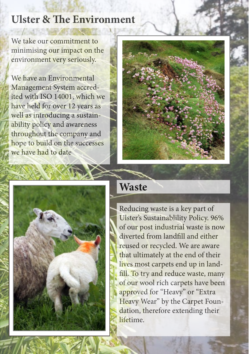#### **Ulster & The Environment**

We take our commitment to minimising our impact on the environment very seriously.

We have an Environmental Management System accredited with ISO 14001, which we have held for over 12 years as well as introducing a sustainability policy and awareness throughout the company and hope to build on the successes we have had to date





### **Waste**

Reducing waste is a key part of Ulster's Sustainablility Policy. 96% of our post industrial waste is now diverted from landfll and either reused or recycled. We are aware that ultimately at the end of their lives most carpets end up in landfill. To try and reduce waste, many of our wool rich carpets have been approved for "Heavy" or "Extra Heavy Wear" by the Carpet Foundation, therefore extending their **lifetime**